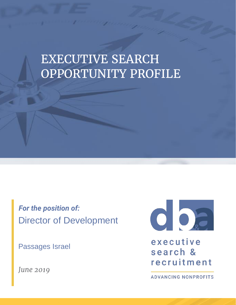# EXECUTIVE SEARCH OPPORTUNITY PROFILE

*For the position of:* Director of Development

Passages Israel

*June 2019*



executive search & recruitment

**ADVANCING NONPROFITS**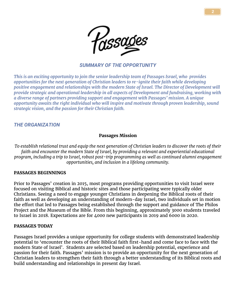

## *SUMMARY OF THE OPPORTUNITY*

*This is an exciting opportunity to join the senior leadership team of Passages Israel, who provides opportunities for the next generation of Christian leaders to re-ignite their faith while developing positive engagement and relationships with the modern State of Israel. The Director of Development will provide strategic and operational leadership in all aspects of Development and fundraising, working with a diverse range of partners providing support and engagement with Passages' mission. A unique opportunity awaits the right individual who will inspire and motivate through proven leadership, sound strategic vision, and the passion for their Christian faith.* 

## *THE ORGANIZATION*

#### **Passages Mission**

*To establish relational trust and equip the next generation of Christian leaders to discover the roots of their faith and encounter the modern State of Israel, by providing a relevant and experiential educational program, including a trip to Israel, robust post-trip programming as well as continued alumni engagement opportunities, and inclusion in a lifelong community.*

#### **PASSAGES BEGINNINGS**

Prior to Passages' creation in 2015, most programs providing opportunities to visit Israel were focused on visiting Biblical and historic sites and those participating were typically older Christians. Seeing a need to engage younger Christians in deepening the Biblical roots of their faith as well as developing an understanding of modern-day Israel, two individuals set in motion the effort that led to Passages being established through the support and guidance of The Philos Project and the Museum of the Bible. From this beginning, approximately 3000 students traveled to Israel in 2018. Expectations are for 4000 new participants in 2019 and 6000 in 2020.

#### **PASSAGES TODAY**

Passages Israel provides a unique opportunity for college students with demonstrated leadership potential to 'encounter the roots of their Biblical faith first-hand and come face to face with the modern State of Israel'. Students are selected based on leadership potential, experience and passion for their faith. Passages' mission is to provide an opportunity for the next generation of Christian leaders to strengthen their faith through a better understanding of its Biblical roots and build understanding and relationships in present day Israel.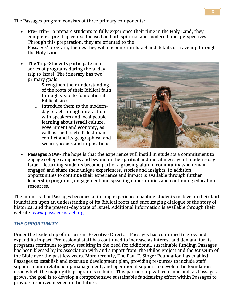The Passages program consists of three primary components:

- **Pre-Trip-**To prepare students to fully experience their time in the Holy Land, they complete a pre-trip course focused on both spiritual and modern Israel perspectives. Through this preparation, they are oriented to the Passages' program, themes they will encounter in Israel and details of traveling through the Holy Land.
- **The Trip**-Students participate in a series of programs during the 9-day trip to Israel. The itinerary has two primary goals:
	- $\circ$  Strengthen their understanding of the roots of their Biblical faith through visits to foundational Biblical sites
	- o Introduce them to the modernday Israel through interaction with speakers and local people learning about Israeli culture, government and economy, as well as the Israeli-Palestinian conflict and its geographical and security issues and implications.



• **Passages NOW**-The hope is that the experience will instill in students a commitment to engage college campuses and beyond in the spiritual and moral message of modern-day Israel. Returning students become part of a growing alumni community who remain engaged and share their unique experiences, stories and insights. In addition, opportunities to continue their experience and impact is available through further leadership programs, engagement and speaking opportunities and continuing education resources.

The intent is that Passages becomes a lifelong experience enabling students to develop their faith foundation upon an understanding of its Biblical roots and encouraging dialogue of the story of historical and the present-day State of Israel. Additional information is available through their website, [www.passagesisrael.org.](http://www.passagesisrael.org/)

# *THE OPPORTUNITY*

Under the leadership of its current Executive Director, Passages has continued to grow and expand its impact. Professional staff has continued to increase as interest and demand for its programs continues to grow, resulting in the need for additional, sustainable funding. Passages has been blessed by its association with and support from The Philos Project and the Museum of the Bible over the past few years. More recently, The Paul E. Singer Foundation has enabled Passages to establish and execute a development plan, providing resources to include staff support, donor relationship management, and operational support to develop the foundation upon which the major gifts program is to build. This partnership will continue and, as Passages grows, the goal is to develop a comprehensive sustainable fundraising effort within Passages to provide resources needed in the future.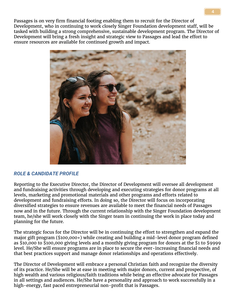Passages is on very firm financial footing enabling them to recruit for the Director of Development, who in continuing to work closely Singer Foundation development staff, will be tasked with building a strong comprehensive, sustainable development program. The Director of Development will bring a fresh insight and strategic view to Passages and lead the effort to ensure resources are available for continued growth and impact.



## *ROLE & CANDIDATE PROFILE*

Reporting to the Executive Director, the Director of Development will oversee all development and fundraising activities through developing and executing strategies for donor programs at all levels, marketing and promotional materials and other programs and efforts related to development and fundraising efforts. In doing so, the Director will focus on incorporating diversified strategies to ensure revenues are available to meet the financial needs of Passages now and in the future. Through the current relationship with the Singer Foundation development team, he/she will work closely with the Singer team in continuing the work in place today and planning for the future.

The strategic focus for the Director will be in continuing the effort to strengthen and expand the major gift program (\$100,000+) while creating and building a mid-level donor program defined as \$10,000 to \$100,000 giving levels and a monthly giving program for donors at the \$1 to \$9999 level. He/She will ensure programs are in place to secure the ever-increasing financial needs and that best practices support and manage donor relationships and operations effectively.

The Director of Development will embrace a personal Christian faith and recognize the diversity of its practice. He/She will be at ease in meeting with major donors, current and prospective, of high wealth and various religious/faith traditions while being an effective advocate for Passages in all settings and audiences. He/She have a personality and approach to work successfully in a high-energy, fast paced entrepreneurial non-profit that is Passages.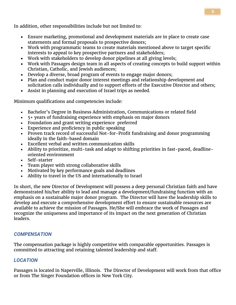In addition, other responsibilities include but not limited to:

- Ensure marketing, promotional and development materials are in place to create case statements and formal proposals to prospective donors;
- Work with programmatic teams to create materials mentioned above to target specific interests to appeal to key prospective partners and stakeholders;
- Work with stakeholders to develop donor pipelines at all giving levels;
- Work with Passages design team in all aspects of creating concepts to build support within Christian, Catholic, and Jewish audiences;
- Develop a diverse, broad program of events to engage major donors;
- Plan and conduct major donor interest meetings and relationship development and solicitation calls individually and to support efforts of the Executive Director and others;
- Assist in planning and execution of Israel trips as needed.

Minimum qualifications and competencies include:

- Bachelor's Degree in Business Administration, Communications or related field
- 5+ years of fundraising experience with emphasis on major donors
- Foundation and grant writing experience preferred
- Experience and proficiency in public speaking
- Proven track record of successful Not-for-Profit fundraising and donor programming ideally in the faith-based domain
- Excellent verbal and written communication skills
- Ability to prioritize, multi-task and adapt to shifting priorities in fast-paced, deadlineoriented environment
- Self-starter
- Team player with strong collaborative skills
- Motivated by key performance goals and deadlines
- Ability to travel in the US and internationally to Israel

In short, the new Director of Development will possess a deep personal Christian faith and have demonstrated his/her ability to lead and manage a development/fundraising function with an emphasis on a sustainable major donor program. The Director will have the leadership skills to develop and execute a comprehensive development effort to ensure sustainable resources are available to achieve the mission of Passages. He/She will embrace the work of Passages and recognize the uniqueness and importance of its impact on the next generation of Christian leaders.

# *COMPENSATION*

The compensation package is highly competitive with comparable opportunities. Passages is committed to attracting and retaining talented leadership and staff.

# *LOCATION*

Passages is located in Naperville, Illinois. The Director of Development will work from that office or from The Singer Foundation offices in New York City.